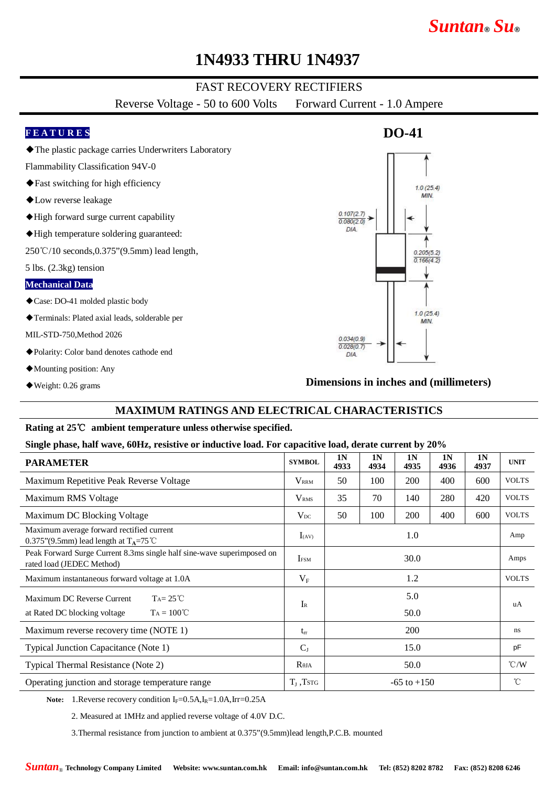# *Suntan***®** *Su***®**

## **1N4933 THRU 1N4937**

## FAST RECOVERY RECTIFIERS

Reverse Voltage - 50 to 600 Volts Forward Current - 1.0 Ampere

#### **F E A T U R E S**

◆The plastic package carries Underwriters Laboratory

Flammability Classification 94V-0

- ◆Fast switching for high efficiency
- ◆Low reverse leakage
- ◆High forward surge current capability
- ◆High temperature soldering guaranteed:

250℃/10 seconds,0.375"(9.5mm) lead length,

5 lbs. (2.3kg) tension

#### **Mechanical Data**

- ◆Case: DO-41 molded plastic body
- ◆Terminals: Plated axial leads, solderable per

MIL-STD-750,Method 2026

- ◆Polarity: Color band denotes cathode end
- ◆Mounting position: Any
- ◆Weight: 0.26 grams

#### **Dimensions in inches and (millimeters)**

#### **MAXIMUM RATINGS AND ELECTRICAL CHARACTERISTICS**

#### **Rating at 25**℃ **ambient temperature unless otherwise specified.**

#### **Single phase, half wave, 60Hz, resistive or inductive load. For capacitive load, derate current by 20%**

| <b>PARAMETER</b>                                                                                         | <b>SYMBOL</b>           | 1 <sub>N</sub><br>4933 | 1 <sub>N</sub><br>4934 | 1 <sub>N</sub><br>4935 | 1N<br>4936 | 1 <sub>N</sub><br>4937 | <b>UNIT</b>   |
|----------------------------------------------------------------------------------------------------------|-------------------------|------------------------|------------------------|------------------------|------------|------------------------|---------------|
| Maximum Repetitive Peak Reverse Voltage                                                                  | <b>VRRM</b>             | 50                     | 100                    | 200                    | 400        | 600                    | <b>VOLTS</b>  |
| Maximum RMS Voltage                                                                                      | V <sub>RMS</sub>        | 35                     | 70                     | 140                    | 280        | 420                    | <b>VOLTS</b>  |
| Maximum DC Blocking Voltage                                                                              | $V_{DC}$                | 50                     | 100                    | <b>200</b>             | 400        | 600                    | <b>VOLTS</b>  |
| Maximum average forward rectified current<br>0.375"(9.5mm) lead length at $T_A = 75^{\circ}$ C           | $I_{(AV)}$              | 1.0                    |                        |                        |            |                        | Amp           |
| Peak Forward Surge Current 8.3ms single half sine-wave superimposed on<br>rated load (JEDEC Method)      | <b>I</b> <sub>ESM</sub> | 30.0                   |                        |                        |            |                        | Amps          |
| Maximum instantaneous forward voltage at 1.0A                                                            | $V_{F}$                 | 1.2                    |                        |                        |            |                        | <b>VOLTS</b>  |
| Maximum DC Reverse Current<br>$Ta = 25^{\circ}C$<br>$T_A = 100^{\circ}C$<br>at Rated DC blocking voltage | $I_{R}$                 | 5.0<br>50.0            |                        |                        |            |                        | uA            |
| Maximum reverse recovery time (NOTE 1)                                                                   | $t_{rr}$                | 200                    |                        |                        |            |                        | ns            |
| Typical Junction Capacitance (Note 1)                                                                    | $C_{J}$                 | 15.0                   |                        |                        |            |                        | pF            |
| Typical Thermal Resistance (Note 2)                                                                      | $R_{\theta JA}$         | 50.0                   |                        |                        |            |                        | $\degree$ C/W |
| Operating junction and storage temperature range                                                         | $T_{J}$ , Tstg          | $-65$ to $+150$        |                        |                        |            |                        | $^{\circ}$ C  |

Note: 1.Reverse recovery condition I<sub>F</sub>=0.5A,I<sub>R</sub>=1.0A,Irr=0.25A

2. Measured at 1MHz and applied reverse voltage of 4.0V D.C.

3.Thermal resistance from junction to ambient at 0.375"(9.5mm)lead length,P.C.B. mounted